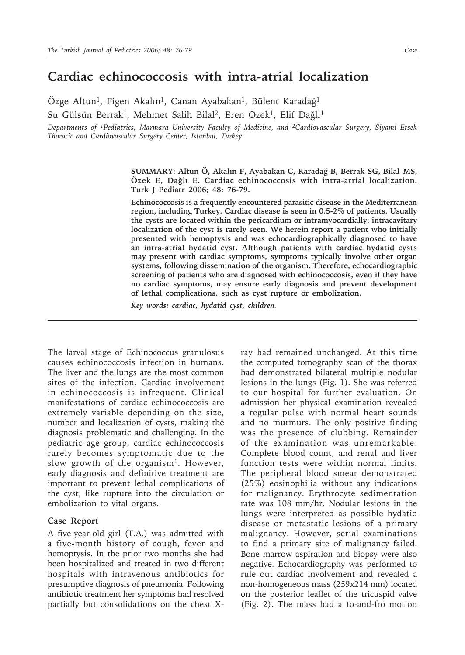## **Cardiac echinococcosis with intra-atrial localization**

Özge Altun<sup>1</sup>, Figen Akalın<sup>1</sup>, Canan Ayabakan<sup>1</sup>, Bülent Karadağ<sup>1</sup>

Su Gülsün Berrak<sup>1</sup>, Mehmet Salih Bilal<sup>2</sup>, Eren Özek<sup>1</sup>, Elif Dağlı<sup>1</sup>

*Departments of 1Pediatrics, Marmara University Faculty of Medicine, and 2Cardiovascular Surgery, Siyami Ersek Thoracic and Cardiovascular Surgery Center, Istanbul, Turkey*

> **SUMMARY: Altun Ö, Akalın F, Ayabakan C, Karadağ B, Berrak SG, Bilal MS, Özek E, Dağlı E. Cardiac echinococcosis with intra-atrial localization. Turk J Pediatr 2006; 48: 76-79.**

> **Echinococcosis is a frequently encountered parasitic disease in the Mediterranean region, including Turkey. Cardiac disease is seen in 0.5-2% of patients. Usually the cysts are located within the pericardium or intramyocardially; intracavitary localization of the cyst is rarely seen. We herein report a patient who initially presented with hemoptysis and was echocardiographically diagnosed to have an intra-atrial hydatid cyst. Although patients with cardiac hydatid cysts may present with cardiac symptoms, symptoms typically involve other organ systems, following dissemination of the organism. Therefore, echocardiographic screening of patients who are diagnosed with echinococcosis, even if they have no cardiac symptoms, may ensure early diagnosis and prevent development of lethal complications, such as cyst rupture or embolization.**

*Key words: cardiac, hydatid cyst, children.*

The larval stage of Echinococcus granulosus causes echinococcosis infection in humans. The liver and the lungs are the most common sites of the infection. Cardiac involvement in echinococcosis is infrequent. Clinical manifestations of cardiac echinococcosis are extremely variable depending on the size, number and localization of cysts, making the diagnosis problematic and challenging. In the pediatric age group, cardiac echinococcosis rarely becomes symptomatic due to the slow growth of the organism<sup>1</sup>. However, early diagnosis and definitive treatment are important to prevent lethal complications of the cyst, like rupture into the circulation or embolization to vital organs.

## **Case Report**

A five-year-old girl (T.A.) was admitted with a five-month history of cough, fever and hemoptysis. In the prior two months she had been hospitalized and treated in two different hospitals with intravenous antibiotics for presumptive diagnosis of pneumonia. Following antibiotic treatment her symptoms had resolved partially but consolidations on the chest X- ray had remained unchanged. At this time the computed tomography scan of the thorax had demonstrated bilateral multiple nodular lesions in the lungs (Fig. 1). She was referred to our hospital for further evaluation. On admission her physical examination revealed a regular pulse with normal heart sounds and no murmurs. The only positive finding was the presence of clubbing. Remainder of the examination was unremarkable. Complete blood count, and renal and liver function tests were within normal limits. The peripheral blood smear demonstrated (25%) eosinophilia without any indications for malignancy. Erythrocyte sedimentation rate was 108 mm/hr. Nodular lesions in the lungs were interpreted as possible hydatid disease or metastatic lesions of a primary malignancy. However, serial examinations to find a primary site of malignancy failed. Bone marrow aspiration and biopsy were also negative. Echocardiography was performed to rule out cardiac involvement and revealed a non-homogeneous mass (259x214 mm) located on the posterior leaflet of the tricuspid valve (Fig. 2). The mass had a to-and-fro motion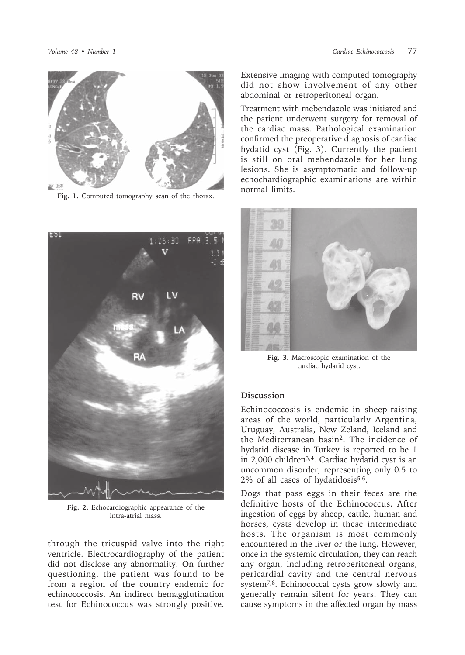

**Fig. 1.** Computed tomography scan of the thorax.



**Fig. 2.** Echocardiographic appearance of the intra-atrial mass.

through the tricuspid valve into the right ventricle. Electrocardiography of the patient did not disclose any abnormality. On further questioning, the patient was found to be from a region of the country endemic for echinococcosis. An indirect hemagglutination test for Echinococcus was strongly positive.

Extensive imaging with computed tomography did not show involvement of any other abdominal or retroperitoneal organ.

Treatment with mebendazole was initiated and the patient underwent surgery for removal of the cardiac mass. Pathological examination confirmed the preoperative diagnosis of cardiac hydatid cyst (Fig. 3). Currently the patient is still on oral mebendazole for her lung lesions. She is asymptomatic and follow-up echochardiographic examinations are within normal limits.



**Fig. 3.** Macroscopic examination of the cardiac hydatid cyst.

## **Discussion**

Echinococcosis is endemic in sheep-raising areas of the world, particularly Argentina, Uruguay, Australia, New Zeland, Iceland and the Mediterranean basin2. The incidence of hydatid disease in Turkey is reported to be 1 in 2,000 children3,4. Cardiac hydatid cyst is an uncommon disorder, representing only 0.5 to 2% of all cases of hydatidosis<sup>5,6</sup>.

Dogs that pass eggs in their feces are the definitive hosts of the Echinococcus. After ingestion of eggs by sheep, cattle, human and horses, cysts develop in these intermediate hosts. The organism is most commonly encountered in the liver or the lung. However, once in the systemic circulation, they can reach any organ, including retroperitoneal organs, pericardial cavity and the central nervous system7,8. Echinococcal cysts grow slowly and generally remain silent for years. They can cause symptoms in the affected organ by mass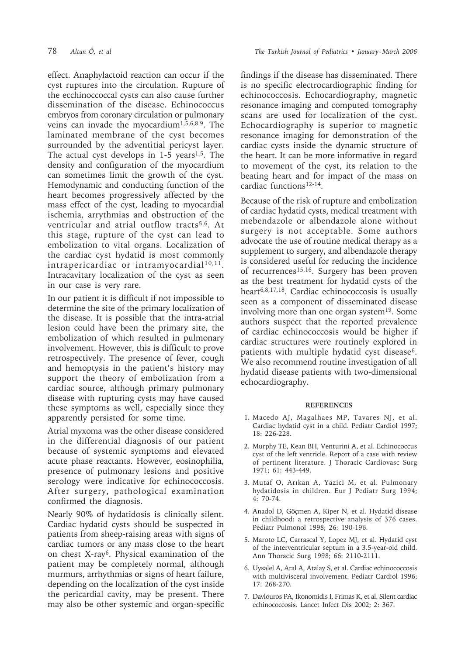effect. Anaphylactoid reaction can occur if the cyst ruptures into the circulation. Rupture of the ecchinoccoccal cysts can also cause further dissemination of the disease. Echinococcus embryos from coronary circulation or pulmonary veins can invade the myocardium<sup>1,5,6,8,9</sup>. The laminated membrane of the cyst becomes surrounded by the adventitial pericyst layer. The actual cyst develops in  $1-5$  years<sup>1,5</sup>. The density and configuration of the myocardium can sometimes limit the growth of the cyst. Hemodynamic and conducting function of the heart becomes progressively affected by the mass effect of the cyst, leading to myocardial ischemia, arrythmias and obstruction of the ventricular and atrial outflow tracts<sup>5,6</sup>. At this stage, rupture of the cyst can lead to embolization to vital organs. Localization of the cardiac cyst hydatid is most commonly intrapericardiac or intramyocardial<sup>10,11</sup>. Intracavitary localization of the cyst as seen in our case is very rare.

In our patient it is difficult if not impossible to determine the site of the primary localization of the disease. It is possible that the intra-atrial lesion could have been the primary site, the embolization of which resulted in pulmonary involvement. However, this is difficult to prove retrospectively. The presence of fever, cough and hemoptysis in the patient's history may support the theory of embolization from a cardiac source, although primary pulmonary disease with rupturing cysts may have caused these symptoms as well, especially since they apparently persisted for some time.

Atrial myxoma was the other disease considered in the differential diagnosis of our patient because of systemic symptoms and elevated acute phase reactants. However, eosinophilia, presence of pulmonary lesions and positive serology were indicative for echinococcosis. After surgery, pathological examination confirmed the diagnosis.

Nearly 90% of hydatidosis is clinically silent. Cardiac hydatid cysts should be suspected in patients from sheep-raising areas with signs of cardiac tumors or any mass close to the heart on chest X-ray6. Physical examination of the patient may be completely normal, although murmurs, arrhythmias or signs of heart failure, depending on the localization of the cyst inside the pericardial cavity, may be present. There may also be other systemic and organ-specific

findings if the disease has disseminated. There is no specific electrocardiographic finding for echinococcosis. Echocardiography, magnetic resonance imaging and computed tomography scans are used for localization of the cyst. Echocardiography is superior to magnetic resonance imaging for demonstration of the cardiac cysts inside the dynamic structure of the heart. It can be more informative in regard to movement of the cyst, its relation to the beating heart and for impact of the mass on cardiac functions12-14.

Because of the risk of rupture and embolization of cardiac hydatid cysts, medical treatment with mebendazole or albendazole alone without surgery is not acceptable. Some authors advocate the use of routine medical therapy as a supplement to surgery, and albendazole therapy is considered useful for reducing the incidence of recurrences<sup>15,16</sup>. Surgery has been proven as the best treatment for hydatid cysts of the heart6,8,17,18. Cardiac echinococcosis is usually seen as a component of disseminated disease involving more than one organ system19. Some authors suspect that the reported prevalence of cardiac echinococcosis would be higher if cardiac structures were routinely explored in patients with multiple hydatid cyst disease<sup>6</sup>. We also recommend routine investigation of all hydatid disease patients with two-dimensional echocardiography.

## **REFERENCES**

- 1. Macedo AJ, Magalhaes MP, Tavares NJ, et al. Cardiac hydatid cyst in a child. Pediatr Cardiol 1997; 18: 226-228.
- 2. Murphy TE, Kean BH, Venturini A, et al. Echinococcus cyst of the left ventricle. Report of a case with review of pertinent literature. J Thoracic Cardiovasc Surg 1971; 61: 443-449.
- 3. Mutaf O, Arıkan A, Yazici M, et al. Pulmonary hydatidosis in children. Eur J Pediatr Surg 1994; 4: 70-74.
- 4. Anadol D, Göçmen A, Kiper N, et al. Hydatid disease in childhood: a retrospective analysis of 376 cases. Pediatr Pulmonol 1998; 26: 190-196.
- 5. Maroto LC, Carrascal Y, Lopez MJ, et al. Hydatid cyst of the interventricular septum in a 3.5-year-old child. Ann Thoracic Surg 1998; 66: 2110-2111.
- 6. Uysalel A, Aral A, Atalay S, et al. Cardiac echinococcosis with multivisceral involvement. Pediatr Cardiol 1996; 17: 268-270.
- 7. Davlouros PA, Ikonomidis I, Frimas K, et al. Silent cardiac echinococcosis. Lancet Infect Dis 2002; 2: 367.